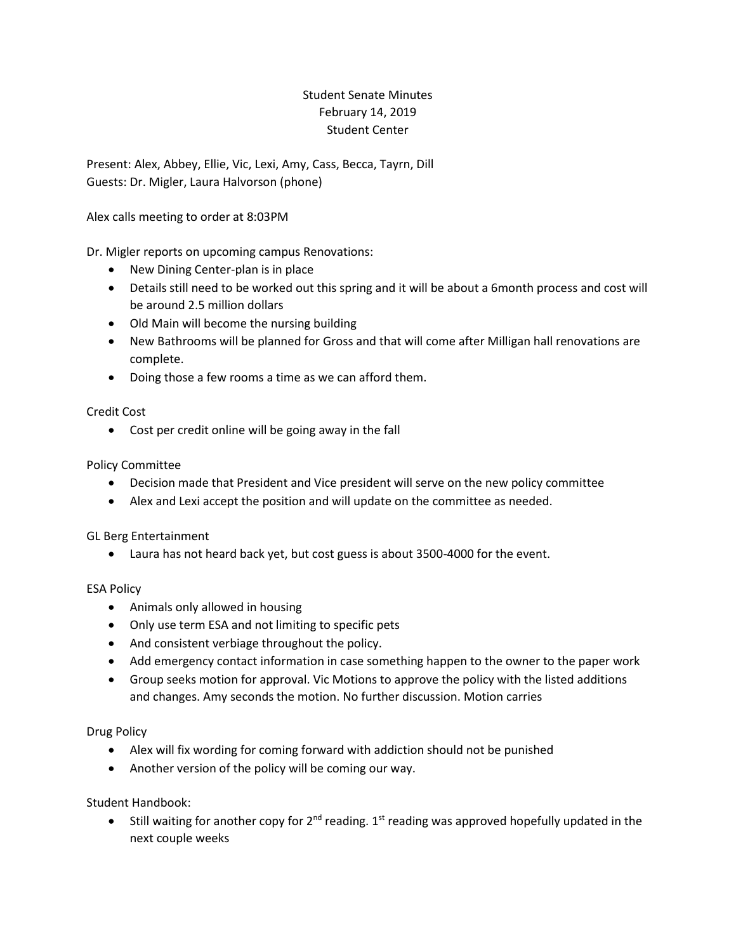## Student Senate Minutes February 14, 2019 Student Center

Present: Alex, Abbey, Ellie, Vic, Lexi, Amy, Cass, Becca, Tayrn, Dill Guests: Dr. Migler, Laura Halvorson (phone)

Alex calls meeting to order at 8:03PM

Dr. Migler reports on upcoming campus Renovations:

- New Dining Center-plan is in place
- Details still need to be worked out this spring and it will be about a 6month process and cost will be around 2.5 million dollars
- Old Main will become the nursing building
- New Bathrooms will be planned for Gross and that will come after Milligan hall renovations are complete.
- Doing those a few rooms a time as we can afford them.

Credit Cost

Cost per credit online will be going away in the fall

Policy Committee

- Decision made that President and Vice president will serve on the new policy committee
- Alex and Lexi accept the position and will update on the committee as needed.

GL Berg Entertainment

Laura has not heard back yet, but cost guess is about 3500-4000 for the event.

## ESA Policy

- Animals only allowed in housing
- Only use term ESA and not limiting to specific pets
- And consistent verbiage throughout the policy.
- Add emergency contact information in case something happen to the owner to the paper work
- Group seeks motion for approval. Vic Motions to approve the policy with the listed additions and changes. Amy seconds the motion. No further discussion. Motion carries

Drug Policy

- Alex will fix wording for coming forward with addiction should not be punished
- Another version of the policy will be coming our way.

Student Handbook:

Still waiting for another copy for  $2^{nd}$  reading.  $1^{st}$  reading was approved hopefully updated in the next couple weeks